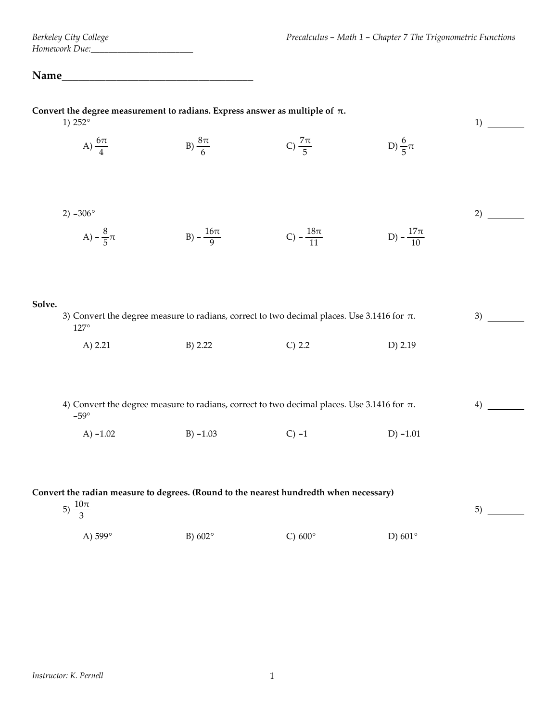## **Name\_\_\_\_\_\_\_\_\_\_\_\_\_\_\_\_\_\_\_\_\_\_\_\_\_\_\_\_\_\_\_\_\_\_\_**

| Convert the degree measurement to radians. Express answer as multiple of $\pi$ .<br>1) $252^{\circ}$                                                                            |                                                                                                                                                               |                       |                        |                        | 1) |
|---------------------------------------------------------------------------------------------------------------------------------------------------------------------------------|---------------------------------------------------------------------------------------------------------------------------------------------------------------|-----------------------|------------------------|------------------------|----|
|                                                                                                                                                                                 | A) $\frac{6\pi}{4}$                                                                                                                                           | B) $\frac{8\pi}{6}$   | C) $\frac{7\pi}{5}$    | D) $\frac{6}{5}\pi$    |    |
|                                                                                                                                                                                 | 2) $-306^{\circ}$<br>A) $-\frac{8}{5}\pi$                                                                                                                     | B) $-\frac{16\pi}{9}$ | C) $-\frac{18\pi}{11}$ | D) $-\frac{17\pi}{10}$ | 2) |
| Solve.                                                                                                                                                                          | 3) Convert the degree measure to radians, correct to two decimal places. Use 3.1416 for $\pi$ .<br>$127^\circ$<br>$C)$ 2.2<br>A) $2.21$<br>B) 2.22<br>D) 2.19 |                       |                        |                        |    |
|                                                                                                                                                                                 | 4) Convert the degree measure to radians, correct to two decimal places. Use 3.1416 for $\pi$ .<br>$-59^\circ$<br>A) $-1.02$                                  | $B) - 1.03$           | $C$ ) -1               | $D) -1.01$             | 4) |
| Convert the radian measure to degrees. (Round to the nearest hundredth when necessary)<br>5) $\frac{10\pi}{3}$<br>A) 599°<br>C) $600^\circ$<br>D) $601^\circ$<br>B) $602^\circ$ |                                                                                                                                                               |                       |                        |                        |    |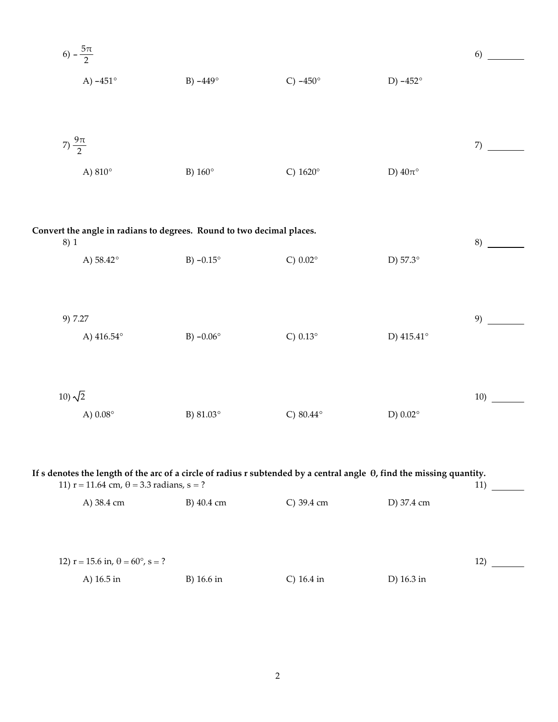6) 
$$
-\frac{5\pi}{2}
$$
  
\nA) -451°  
\nB) -449°  
\nC) -450°  
\nD) -452°  
\nD) 407°  
\n7)  $\frac{9\pi}{2}$   
\nA) 810°  
\n6)  $\frac{9\pi}{2}$   
\nD) 407°  
\n6)  $\frac{9\pi}{2}$   
\nD) 407°  
\n6)  $\frac{9\pi}{2}$   
\nD) 407°  
\n6)  $\frac{9\pi}{2}$   
\nD) 407°  
\n6)  $\frac{9\pi}{2}$   
\n5)  $\frac{160°}{2}$   
\n6) 451°  
\n7)  $\frac{9\pi}{2}$   
\n8)  $\frac{1}{2}$   
\n9) 7.27  
\n10)  $\sqrt{2}$   
\n11)  $\sqrt{2}$   
\n12) 415.41°  
\n13) 63°  
\n14) 6.54°  
\n15) 61.03°  
\n16) 81.03°  
\n17) 45.41°  
\n18) -0.06°  
\n19) 415.41°  
\n10) 42  
\n21) 0.02°  
\n22) 80.44°  
\n23) 81.03°  
\n25) 80.44°  
\n26) 80.44°  
\n27) 415.41°  
\n29)

If s denotes the length of the arc of a circle of radius r subtended by a central angle  $\theta$ , find the missing quantity.  $\frac{11}{2}$ 11)  $r = 11.64$  cm,  $\theta = 3.3$  radians,  $s = ?$ A) 38.4 cm B) 40.4 cm C) 39.4 cm D) 37.4 cm 12)  $r = 15.6$  in,  $\theta = 60^{\circ}$ , s = ?  $\frac{12}{\sqrt{2}}$ D) 16.3 in B) 16.6 in C)  $16.4$  in A) 16.5 in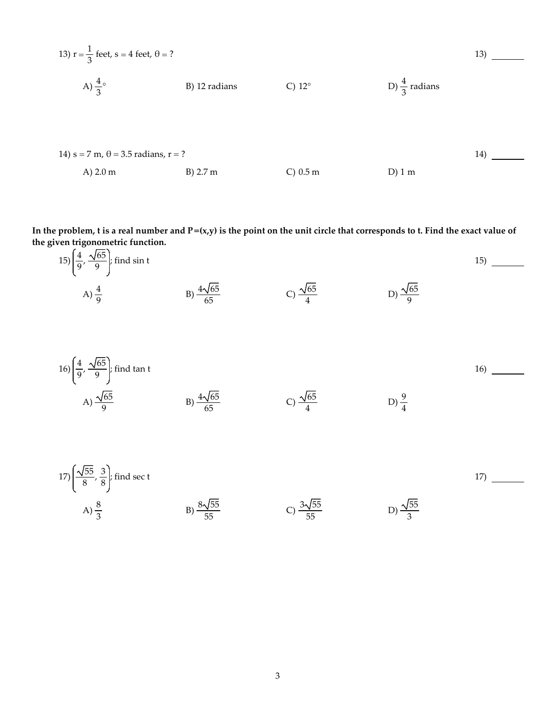13) 
$$
r = \frac{1}{3} \text{ feet, } s = 4 \text{ feet, } \theta = ?
$$
  
\nA)  $\frac{4}{3}^{\circ}$  \t\t B) 12 radians \t\t C) 12<sup>°</sup> \t\t D)  $\frac{4}{3}$  radians  
\n14)  $s = 7 \text{ m}, \theta = 3.5 \text{ radians, } r = ?$   
\nA) 2.0 m \t\t B) 2.7 m \t\t C) 0.5 m \t\t D) 1 m

In the problem, t is a real number and  $P=(x,y)$  is the point on the unit circle that corresponds to t. Find the exact value of **the given trigonometric function.**

15) 
$$
\left(\frac{4}{9}, \frac{\sqrt{65}}{9}\right)
$$
; find sin t  
\nA)  $\frac{4}{9}$  \nB)  $\frac{4\sqrt{65}}{65}$  \nC)  $\frac{\sqrt{65}}{4}$  \nD)  $\frac{\sqrt{65}}{9}$ 

16) 
$$
\left(\frac{4}{9}, \frac{\sqrt{65}}{9}\right)
$$
; find tan t  
\nA)  $\frac{\sqrt{65}}{9}$   
\nB)  $\frac{4\sqrt{65}}{65}$   
\nC)  $\frac{\sqrt{65}}{4}$   
\nD)  $\frac{9}{4}$ 

17) 
$$
\left(\frac{\sqrt{55}}{8}, \frac{3}{8}\right)
$$
; find sec t  
\nA)  $\frac{8}{3}$  \nB)  $\frac{8\sqrt{55}}{55}$  \nC)  $\frac{3\sqrt{55}}{55}$  \nD)  $\frac{\sqrt{55}}{3}$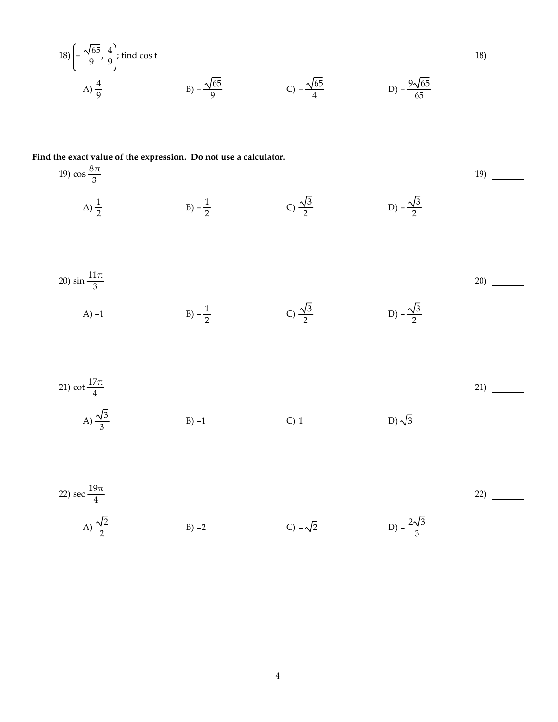18) 
$$
\left(-\frac{\sqrt{65}}{9}, \frac{4}{9}\right)
$$
; find cos t  
A)  $\frac{4}{9}$   
B)  $-\frac{\sqrt{65}}{9}$   
C)  $-\frac{\sqrt{65}}{4}$   
D)  $-\frac{9\sqrt{65}}{65}$ 

Find the exact value of the expression. Do not use a calculator.

19) 
$$
\frac{8\pi}{3}
$$
  
\nA)  $\frac{1}{2}$   
\nB)  $-\frac{1}{2}$   
\nC)  $\frac{\sqrt{3}}{2}$   
\nD)  $-\frac{\sqrt{3}}{2}$   
\nD)  $-\frac{\sqrt{3}}{2}$   
\nE)  $-\frac{1}{2}$   
\nD)  $-\frac{\sqrt{3}}{2}$   
\nE)  $-\frac{1}{2}$   
\nE)  $-\frac{1}{2}$   
\nE)  $-\frac{\sqrt{3}}{2}$   
\nE)  $-\frac{\sqrt{3}}{2}$   
\nE)  $-\frac{\sqrt{3}}{2}$   
\nE)  $-\frac{\sqrt{3}}{2}$   
\nE)  $-\frac{\sqrt{3}}{2}$   
\nE)  $-\frac{2\sqrt{3}}{3}$   
\nE)  $-\frac{2\sqrt{3}}{3}$   
\nE)  $-\sqrt{2}$   
\nE)  $-\frac{2\sqrt{3}}{3}$   
\nE)  $-\sqrt{2}$   
\nE)  $-\frac{2\sqrt{3}}{3}$   
\nE)  $-\sqrt{2}$   
\nE)  $-\frac{2\sqrt{3}}{3}$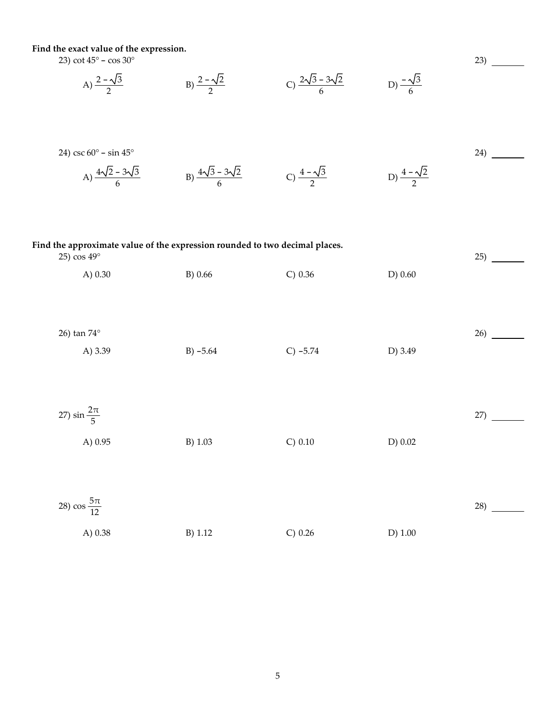Find the exact value of the expression.

23) cot  $45^{\circ}$  – cos  $30^{\circ}$ 

A) 
$$
\frac{2-\sqrt{3}}{2}
$$
 \t\t B)  $\frac{2-\sqrt{2}}{2}$  \t\t C)  $\frac{2\sqrt{3}-3\sqrt{2}}{6}$  \t\t D)  $\frac{-\sqrt{3}}{6}$ 

24) csc 60° - sin 45°  
\nA) 
$$
\frac{4\sqrt{2} - 3\sqrt{3}}{6}
$$
  
\nB)  $\frac{4\sqrt{3} - 3\sqrt{2}}{6}$   
\nC)  $\frac{4 - \sqrt{3}}{2}$   
\nD)  $\frac{4 - \sqrt{2}}{2}$ 

 $23)$ 

## Find the approximate value of the expression rounded to two decimal places.  $25)$  $25)$  cos  $49^\circ$ A) 0.30 B) 0.66  $C) 0.36$ D) 0.60 26) tan 74° A) 3.39  $B) - 5.64$  $C) -5.74$ D) 3.49 27)  $\sin \frac{2\pi}{5}$  $27)$ A) 0.95 B) 1.03  $C) 0.10$  $D) 0.02$ 28)  $\cos \frac{5\pi}{12}$  $28)$ A) 0.38 B) 1.12  $C) 0.26$  $D)$  1.00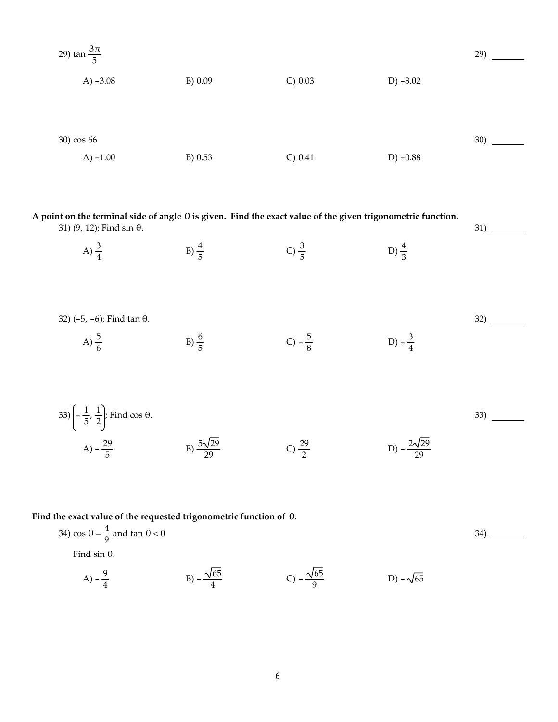29) 
$$
\tan \frac{3\pi}{5}
$$
  
\nA) -3.08  
\nB) 0.09  
\nC) 0.03  
\nD) -3.02  
\nD) -3.02  
\n30)  
\nA) -1.00  
\nB) 0.53  
\nC) 0.41  
\nD) -0.88

| A point on the terminal side of angle $\theta$ is given. Find the exact value of the given trigonometric function.<br>31) $(9, 12)$ ; Find sin $\theta$ . |                  |                   |                   | 31) |
|-----------------------------------------------------------------------------------------------------------------------------------------------------------|------------------|-------------------|-------------------|-----|
| A) $\frac{3}{4}$                                                                                                                                          | B) $\frac{4}{5}$ | C) $\frac{3}{5}$  | D) $\frac{4}{3}$  |     |
| 32) $(-5, -6)$ ; Find tan $\theta$ .<br>A) $\frac{5}{6}$                                                                                                  | $B) \frac{6}{5}$ | C) $-\frac{5}{8}$ | D) $-\frac{3}{4}$ | 32) |
| 33) $\left(-\frac{1}{5}, \frac{1}{2}\right)$ ; Find cos $\theta$ .                                                                                        |                  |                   |                   | 33) |

## Find the exact value of the requested trigonometric function of  $\theta$ .

A)  $-\frac{29}{5}$  B)  $\frac{5\sqrt{29}}{29}$ 

34) 
$$
\cos \theta = \frac{4}{9}
$$
 and  $\tan \theta < 0$   
Find  $\sin \theta$ .

 $\frac{29}{2}$  D)  $-\frac{2\sqrt{29}}{29}$ 

A) 
$$
-\frac{9}{4}
$$
 \t\t B)  $-\frac{\sqrt{65}}{4}$  \t\t C)  $-\frac{\sqrt{65}}{9}$  \t\t D)  $-\sqrt{65}$ 

B)  $\frac{5\sqrt{29}}{29}$  C)  $\frac{29}{2}$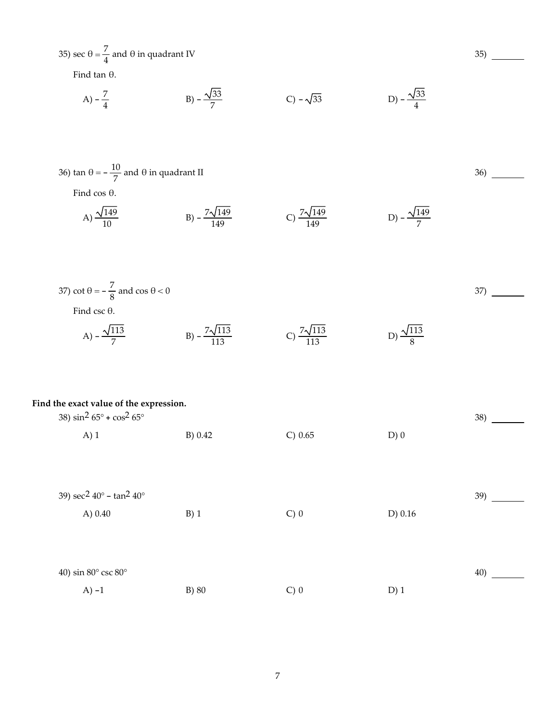| 35) sec $\theta = \frac{7}{4}$ and $\theta$ in quadrant IV                                                         |                               |                              |                             | 35) |
|--------------------------------------------------------------------------------------------------------------------|-------------------------------|------------------------------|-----------------------------|-----|
| Find tan $\theta$ .                                                                                                |                               |                              |                             |     |
| A) $-\frac{7}{4}$                                                                                                  | B) $-\frac{\sqrt{33}}{7}$     | $C) - \sqrt{33}$             | D) $-\frac{\sqrt{33}}{4}$   |     |
| 36) tan $\theta = -\frac{10}{7}$ and $\theta$ in quadrant II<br>Find $\cos \theta$ .<br>A) $\frac{\sqrt{149}}{10}$ | B) $-\frac{7\sqrt{149}}{149}$ | C) $\frac{7\sqrt{149}}{149}$ | D) – $\frac{\sqrt{149}}{7}$ | 36) |
| 37) cot $\theta = -\frac{7}{8}$ and cos $\theta < 0$<br>Find csc $\theta$ .<br>A) $-\frac{\sqrt{113}}{7}$          | B) $-\frac{7\sqrt{113}}{113}$ | C) $\frac{7\sqrt{113}}{113}$ | D) $\frac{\sqrt{113}}{8}$   | 37) |
| Find the exact value of the expression.<br>38) $\sin^2 65^\circ + \cos^2 65^\circ$<br>$A)$ 1                       | B) 0.42                       | C) 0.65                      | $D)$ 0                      | 38) |
| 39) $\sec^2 40^\circ - \tan^2 40^\circ$<br>A) 0.40                                                                 | $B)$ 1                        | $C$ ) 0                      | D) 0.16                     | 39) |
| 40) sin 80° csc 80°<br>$A$ ) -1                                                                                    | B) 80                         | $C$ ) 0                      | $D)$ 1                      | 40) |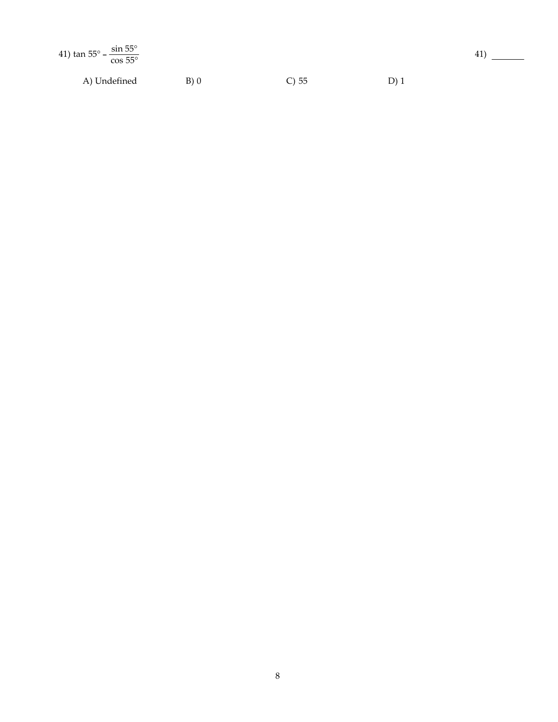| 41) $\tan 55^{\circ} - \frac{\sin 55^{\circ}}{\cos 55^{\circ}}$ |      |          |     |
|-----------------------------------------------------------------|------|----------|-----|
| A) Undefined                                                    | B(0) | $C$ ) 55 | D)1 |

 $41)$